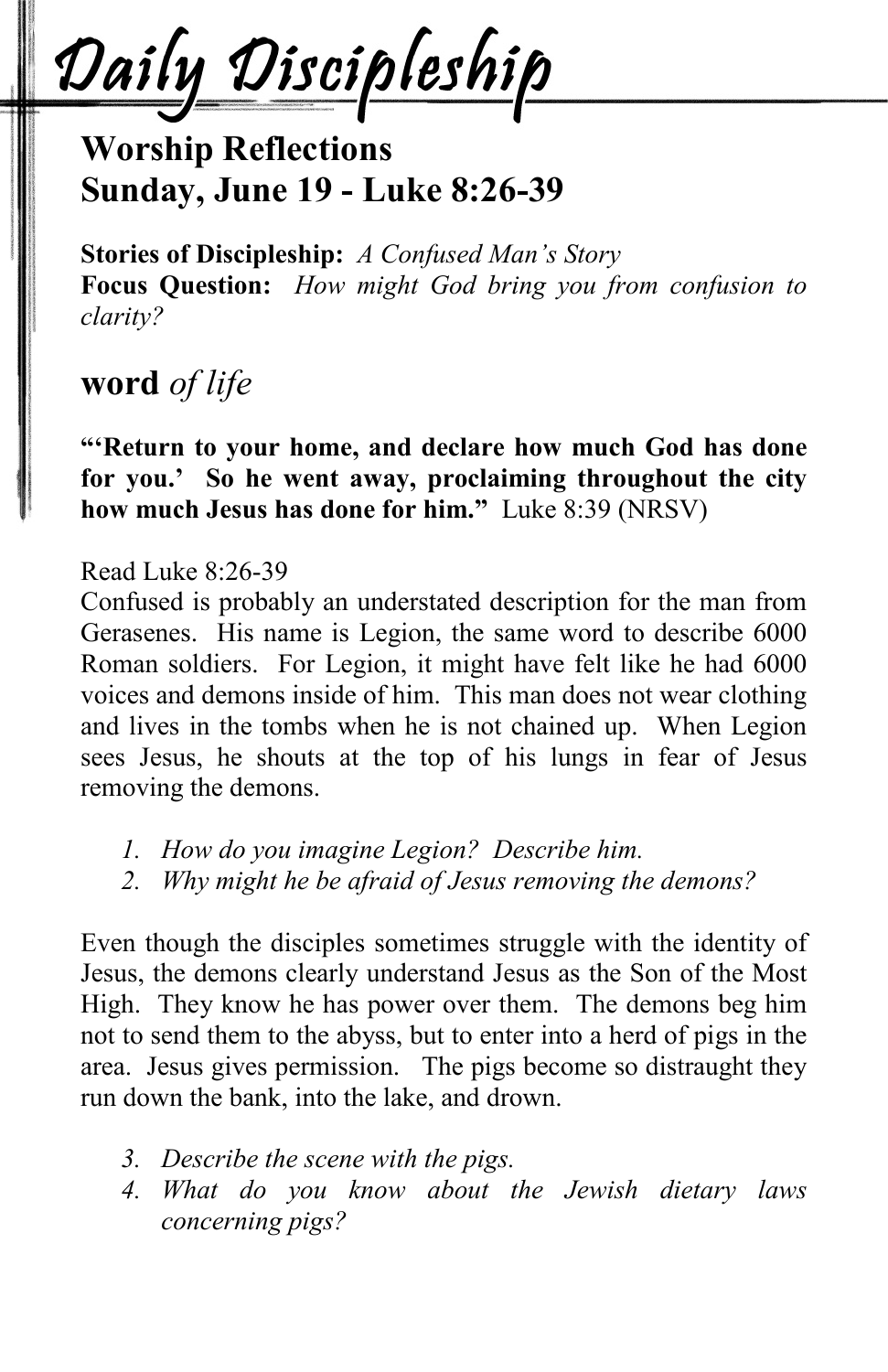Daily Discipleship

## **Worship Reflections Sunday, June 19 - Luke 8:26-39**

**Stories of Discipleship:** *A Confused Man's Story* **Focus Question:** *How might God bring you from confusion to clarity?*

## **word** *of life*

**"'Return to your home, and declare how much God has done for you.' So he went away, proclaiming throughout the city how much Jesus has done for him."** Luke 8:39 (NRSV)

#### Read Luke 8:26-39

Confused is probably an understated description for the man from Gerasenes. His name is Legion, the same word to describe 6000 Roman soldiers. For Legion, it might have felt like he had 6000 voices and demons inside of him. This man does not wear clothing and lives in the tombs when he is not chained up. When Legion sees Jesus, he shouts at the top of his lungs in fear of Jesus removing the demons.

- *1. How do you imagine Legion? Describe him.*
- *2. Why might he be afraid of Jesus removing the demons?*

Even though the disciples sometimes struggle with the identity of Jesus, the demons clearly understand Jesus as the Son of the Most High. They know he has power over them. The demons beg him not to send them to the abyss, but to enter into a herd of pigs in the area. Jesus gives permission. The pigs become so distraught they run down the bank, into the lake, and drown.

- *3. Describe the scene with the pigs.*
- *4. What do you know about the Jewish dietary laws concerning pigs?*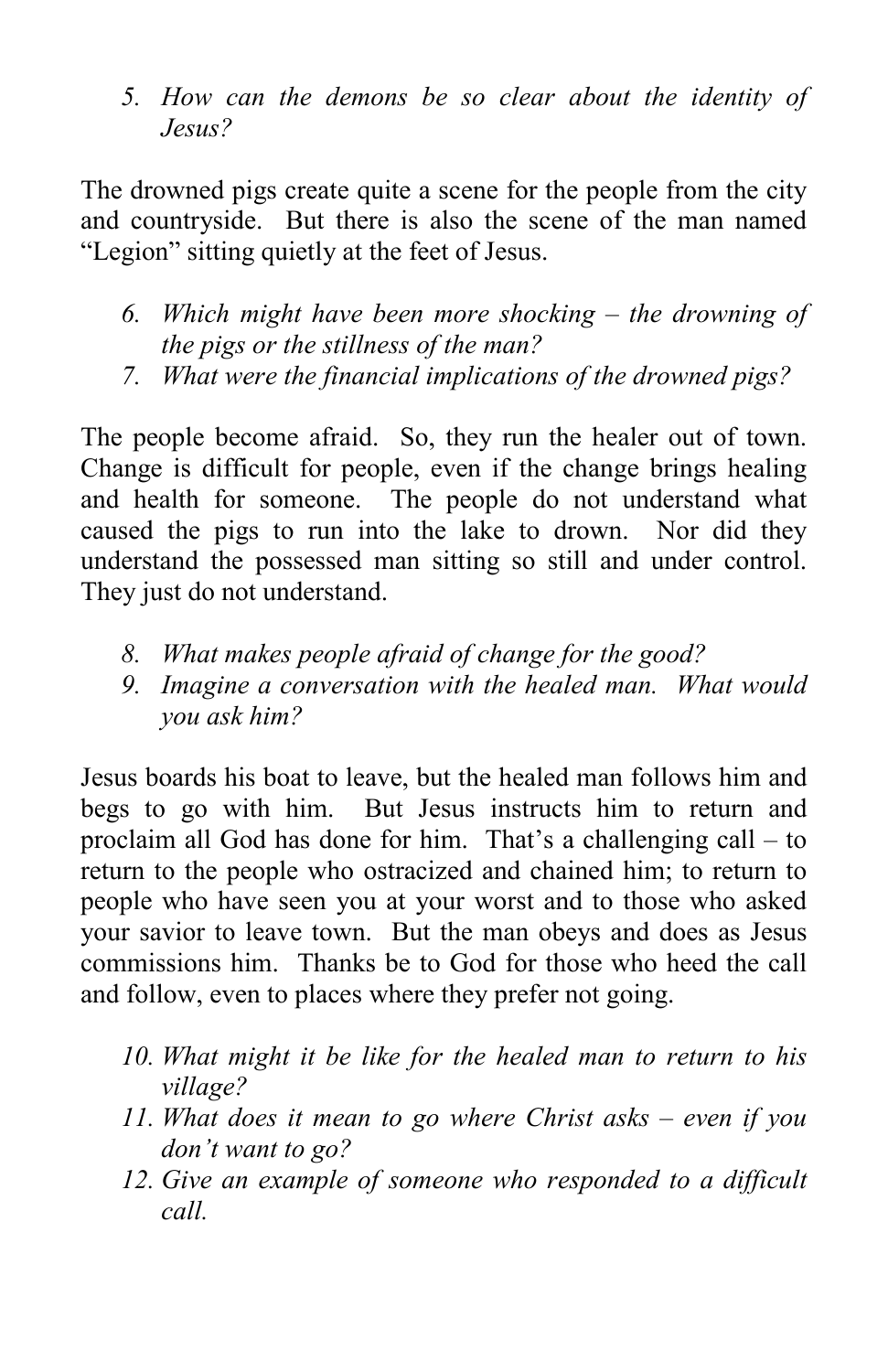*5. How can the demons be so clear about the identity of Jesus?*

The drowned pigs create quite a scene for the people from the city and countryside. But there is also the scene of the man named "Legion" sitting quietly at the feet of Jesus.

- *6. Which might have been more shocking – the drowning of the pigs or the stillness of the man?*
- *7. What were the financial implications of the drowned pigs?*

The people become afraid. So, they run the healer out of town. Change is difficult for people, even if the change brings healing and health for someone. The people do not understand what caused the pigs to run into the lake to drown. Nor did they understand the possessed man sitting so still and under control. They just do not understand.

- *8. What makes people afraid of change for the good?*
- *9. Imagine a conversation with the healed man. What would you ask him?*

Jesus boards his boat to leave, but the healed man follows him and begs to go with him. But Jesus instructs him to return and proclaim all God has done for him. That's a challenging call – to return to the people who ostracized and chained him; to return to people who have seen you at your worst and to those who asked your savior to leave town. But the man obeys and does as Jesus commissions him. Thanks be to God for those who heed the call and follow, even to places where they prefer not going.

- *10. What might it be like for the healed man to return to his village?*
- *11. What does it mean to go where Christ asks – even if you don't want to go?*
- *12. Give an example of someone who responded to a difficult call.*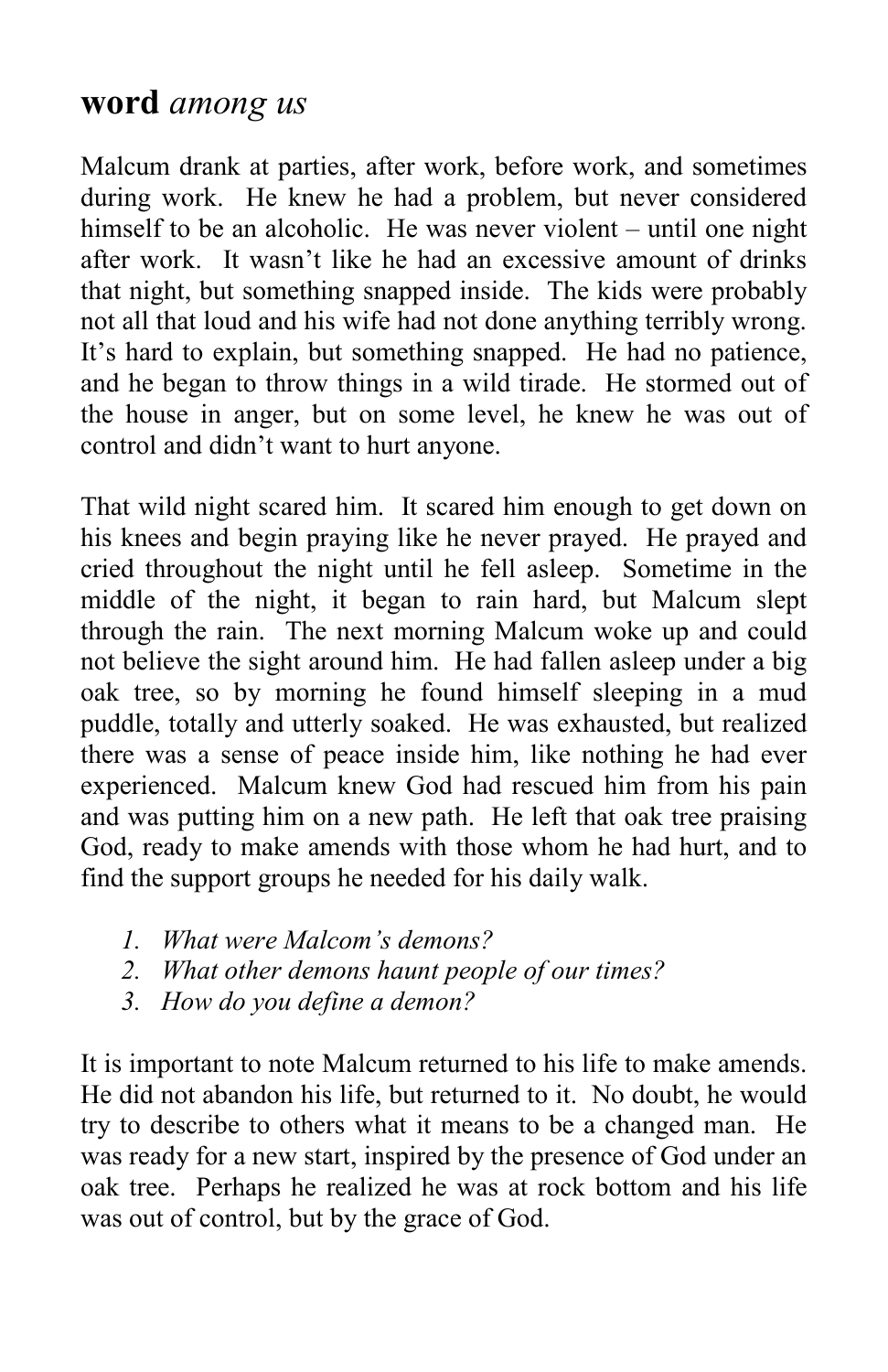## **word** *among us*

Malcum drank at parties, after work, before work, and sometimes during work. He knew he had a problem, but never considered himself to be an alcoholic. He was never violent – until one night after work. It wasn't like he had an excessive amount of drinks that night, but something snapped inside. The kids were probably not all that loud and his wife had not done anything terribly wrong. It's hard to explain, but something snapped. He had no patience, and he began to throw things in a wild tirade. He stormed out of the house in anger, but on some level, he knew he was out of control and didn't want to hurt anyone.

That wild night scared him. It scared him enough to get down on his knees and begin praying like he never prayed. He prayed and cried throughout the night until he fell asleep. Sometime in the middle of the night, it began to rain hard, but Malcum slept through the rain. The next morning Malcum woke up and could not believe the sight around him. He had fallen asleep under a big oak tree, so by morning he found himself sleeping in a mud puddle, totally and utterly soaked. He was exhausted, but realized there was a sense of peace inside him, like nothing he had ever experienced. Malcum knew God had rescued him from his pain and was putting him on a new path. He left that oak tree praising God, ready to make amends with those whom he had hurt, and to find the support groups he needed for his daily walk.

- *1. What were Malcom's demons?*
- *2. What other demons haunt people of our times?*
- *3. How do you define a demon?*

It is important to note Malcum returned to his life to make amends. He did not abandon his life, but returned to it. No doubt, he would try to describe to others what it means to be a changed man. He was ready for a new start, inspired by the presence of God under an oak tree. Perhaps he realized he was at rock bottom and his life was out of control, but by the grace of God.